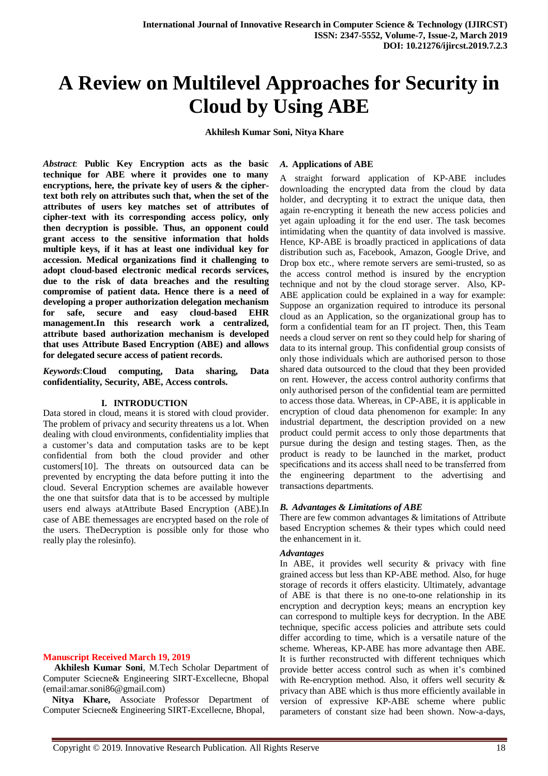# **A Review on Multilevel Approaches for Security in Cloud by Using ABE**

 **Akhilesh Kumar Soni, Nitya Khare**

*Abstract*: **Public Key Encryption acts as the basic technique for ABE where it provides one to many encryptions, here, the private key of users & the ciphertext both rely on attributes such that, when the set of the attributes of users key matches set of attributes of cipher-text with its corresponding access policy, only then decryption is possible. Thus, an opponent could grant access to the sensitive information that holds multiple keys, if it has at least one individual key for accession. Medical organizations find it challenging to adopt cloud-based electronic medical records services, due to the risk of data breaches and the resulting compromise of patient data. Hence there is a need of developing a proper authorization delegation mechanism for safe, secure and easy cloud-based EHR management.In this research work a centralized, attribute based authorization mechanism is developed that uses Attribute Based Encryption (ABE) and allows for delegated secure access of patient records.** 

*Keywords*:**Cloud computing, Data sharing, Data confidentiality, Security, ABE, Access controls.**

#### **I. INTRODUCTION**

Data stored in cloud, means it is stored with cloud provider. The problem of privacy and security threatens us a lot. When dealing with cloud environments, confidentiality implies that a customer's data and computation tasks are to be kept confidential from both the cloud provider and other customers[10]. The threats on outsourced data can be prevented by encrypting the data before putting it into the cloud. Several Encryption schemes are available however the one that suitsfor data that is to be accessed by multiple users end always atAttribute Based Encryption (ABE).In case of ABE themessages are encrypted based on the role of the users. TheDecryption is possible only for those who really play the rolesinfo).

#### **Manuscript Received March 19, 2019**

 **Akhilesh Kumar Soni**, M.Tech Scholar Department of Computer Sciecne& Engineering SIRT-Excellecne, Bhopal (email:amar.soni86@gmail.com)

 **Nitya Khare,** Associate Professor Department of Computer Sciecne& Engineering SIRT-Excellecne, Bhopal,

#### *A.* **Applications of ABE**

A straight forward application of KP-ABE includes downloading the encrypted data from the cloud by data holder, and decrypting it to extract the unique data, then again re-encrypting it beneath the new access policies and yet again uploading it for the end user. The task becomes intimidating when the quantity of data involved is massive. Hence, KP-ABE is broadly practiced in applications of data distribution such as, Facebook, Amazon, Google Drive, and Drop box etc., where remote servers are semi-trusted, so as the access control method is insured by the encryption technique and not by the cloud storage server. Also, KP-ABE application could be explained in a way for example: Suppose an organization required to introduce its personal cloud as an Application, so the organizational group has to form a confidential team for an IT project. Then, this Team needs a cloud server on rent so they could help for sharing of data to its internal group. This confidential group consists of only those individuals which are authorised person to those shared data outsourced to the cloud that they been provided on rent. However, the access control authority confirms that only authorised person of the confidential team are permitted to access those data. Whereas, in CP-ABE, it is applicable in encryption of cloud data phenomenon for example: In any industrial department, the description provided on a new product could permit access to only those departments that pursue during the design and testing stages. Then, as the product is ready to be launched in the market, product specifications and its access shall need to be transferred from the engineering department to the advertising and transactions departments.

### *B. Advantages & Limitations of ABE*

There are few common advantages & limitations of Attribute based Encryption schemes & their types which could need the enhancement in it.

#### *Advantages*

In ABE, it provides well security & privacy with fine grained access but less than KP-ABE method. Also, for huge storage of records it offers elasticity. Ultimately, advantage of ABE is that there is no one-to-one relationship in its encryption and decryption keys; means an encryption key can correspond to multiple keys for decryption. In the ABE technique, specific access policies and attribute sets could differ according to time, which is a versatile nature of the scheme. Whereas, KP-ABE has more advantage then ABE. It is further reconstructed with different techniques which provide better access control such as when it's combined with Re-encryption method. Also, it offers well security & privacy than ABE which is thus more efficiently available in version of expressive KP-ABE scheme where public parameters of constant size had been shown. Now-a-days,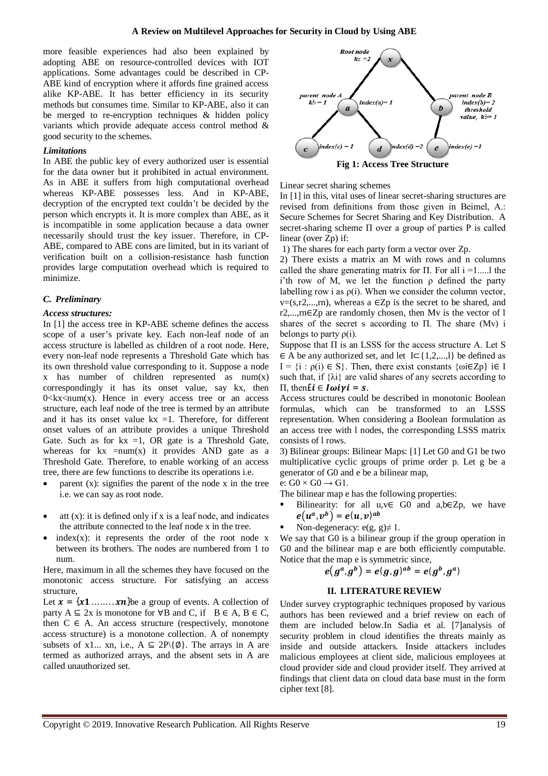more feasible experiences had also been explained by adopting ABE on resource-controlled devices with IOT applications. Some advantages could be described in CP-ABE kind of encryption where it affords fine grained access alike KP-ABE. It has better efficiency in its security methods but consumes time. Similar to KP-ABE, also it can be merged to re-encryption techniques & hidden policy variants which provide adequate access control method & good security to the schemes.

### *Limitations*

In ABE the public key of every authorized user is essential for the data owner but it prohibited in actual environment. As in ABE it suffers from high computational overhead whereas KP-ABE possesses less. And in KP-ABE, decryption of the encrypted text couldn't be decided by the person which encrypts it. It is more complex than ABE, as it is incompatible in some application because a data owner necessarily should trust the key issuer. Therefore, in CP-ABE, compared to ABE cons are limited, but in its variant of verification built on a collision-resistance hash function provides large computation overhead which is required to minimize.

## *C. Preliminary*

## *Access structures:*

In [1] the access tree in KP-ABE scheme defines the access scope of a user's private key. Each non-leaf node of an access structure is labelled as children of a root node. Here, every non-leaf node represents a Threshold Gate which has its own threshold value corresponding to it. Suppose a node x has number of children represented as num(x) correspondingly it has its onset value, say kx, then  $0 \le kx \le num(x)$ . Hence in every access tree or an access structure, each leaf node of the tree is termed by an attribute and it has its onset value  $kx = 1$ . Therefore, for different onset values of an attribute provides a unique Threshold Gate. Such as for  $kx =1$ , OR gate is a Threshold Gate, whereas for  $kx = num(x)$  it provides AND gate as a Threshold Gate. Therefore, to enable working of an access tree, there are few functions to describe its operations i.e.

- parent (x): signifies the parent of the node x in the tree i.e. we can say as root node.
- att (x): it is defined only if x is a leaf node, and indicates the attribute connected to the leaf node x in the tree.
- $index(x)$ : it represents the order of the root node x between its brothers. The nodes are numbered from 1 to num.

Here, maximum in all the schemes they have focused on the monotonic access structure. For satisfying an access structure,

Let  $x = \{x1 \dots xn\}$ be a group of events. A collection of party  $A \subseteq 2x$  is monotone for  $\forall B$  and C, if  $B \in A$ ,  $B \in C$ , then  $C \in A$ . An access structure (respectively, monotone access structure) is a monotone collection. A of nonempty subsets of x1... xn, i.e.,  $A \subseteq 2P\{\emptyset\}$ . The arrays in A are termed as authorized arrays, and the absent sets in A are called unauthorized set.



Linear secret sharing schemes

In [1] in this, vital uses of linear secret-sharing structures are revised from definitions from those given in Beimel, A.: Secure Schemes for Secret Sharing and Key Distribution. A secret-sharing scheme Π over a group of parties P is called linear (over Zp) if:

1) The shares for each party form a vector over Zp.

2) There exists a matrix an M with rows and n columns called the share generating matrix for  $\Pi$ . For all  $i = 1,...,l$  the i'th row of M, we let the function  $\rho$  defined the party labelling row i as  $\rho(i)$ . When we consider the column vector,  $v=(s,r2,...,rn)$ , whereas a  $\in Zp$  is the secret to be shared, and r2,...,rn∈Zp are randomly chosen, then Mv is the vector of l shares of the secret s according to Π. The share (Mv) i belongs to party  $\rho(i)$ .

Suppose that  $\Pi$  is an LSSS for the access structure A. Let S ∈ A be any authorized set, and let I⊂{1,2,...,l} be defined as  $I = \{i : \rho(i) \in S\}$ . Then, there exist constants  $\{\omega i \in Zp\}$  i $\in I$ such that, if  $\{\lambda i\}$  are valid shares of any secrets according to  $\Pi$ , then  $\mathbf{i} \in I$   $\omega \mathbf{i} \gamma \mathbf{i} = \mathbf{s}$ .

Access structures could be described in monotonic Boolean formulas, which can be transformed to an LSSS representation. When considering a Boolean formulation as an access tree with l nodes, the corresponding LSSS matrix consists of l rows.

3) Bilinear groups: Bilinear Maps: [1] Let G0 and G1 be two multiplicative cyclic groups of prime order p. Let g be a generator of G0 and e be a bilinear map,

e:  $G0 \times G0 \rightarrow G1$ .

The bilinear map e has the following properties:

- Bilinearity: for all  $u,v \in G0$  and  $a,b \in Zp$ , we have  $e(u^a, v^b) = e(u, v)^{ab}$
- Non-degeneracy:  $e(g, g) \neq 1$ .

We say that G0 is a bilinear group if the group operation in G0 and the bilinear map e are both efficiently computable. Notice that the map e is symmetric since,

$$
e(g^a, g^b) = e(g, g)^{ab} = e(g^b, g^a)
$$

#### **II. LITERATURE REVIEW**

Under survey cryptographic techniques proposed by various authors has been reviewed and a brief review on each of them are included below.In Sadia et al. [7]analysis of security problem in cloud identifies the threats mainly as inside and outside attackers. Inside attackers includes malicious employees at client side, malicious employees at cloud provider side and cloud provider itself. They arrived at findings that client data on cloud data base must in the form cipher text [8].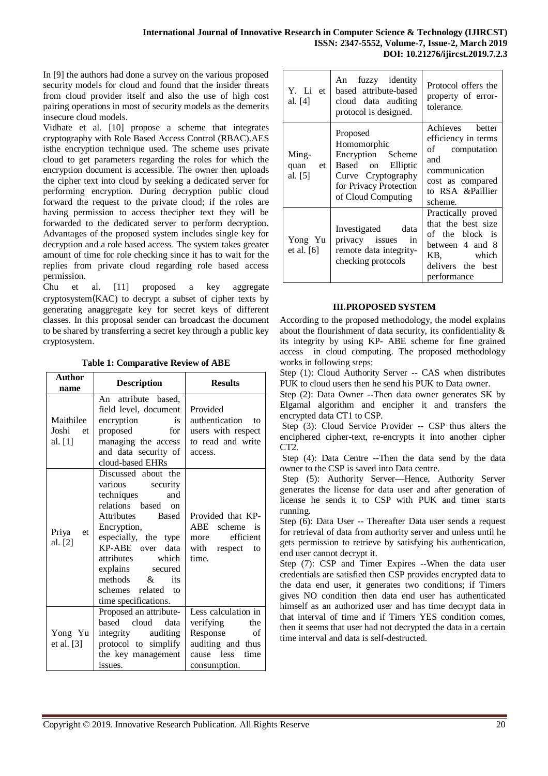In [9] the authors had done a survey on the various proposed security models for cloud and found that the insider threats from cloud provider itself and also the use of high cost pairing operations in most of security models as the demerits insecure cloud models.

Vidhate et al. [10] propose a scheme that integrates cryptography with Role Based Access Control (RBAC).AES isthe encryption technique used. The scheme uses private cloud to get parameters regarding the roles for which the encryption document is accessible. The owner then uploads the cipher text into cloud by seeking a dedicated server for performing encryption. During decryption public cloud forward the request to the private cloud; if the roles are having permission to access thecipher text they will be forwarded to the dedicated server to perform decryption. Advantages of the proposed system includes single key for decryption and a role based access. The system takes greater amount of time for role checking since it has to wait for the replies from private cloud regarding role based access permission.

Chu et al. [11] proposed a key aggregate cryptosystem(KAC) to decrypt a subset of cipher texts by generating anaggregate key for secret keys of different classes. In this proposal sender can broadcast the document to be shared by transferring a secret key through a public key cryptosystem.

|  | <b>Table 1: Comparative Review of ABE</b> |  |  |
|--|-------------------------------------------|--|--|
|--|-------------------------------------------|--|--|

| <b>Author</b><br>name                          | <b>Description</b>                                                                                                                                                                                                                                                                              | <b>Results</b>                                                                                                       |  |
|------------------------------------------------|-------------------------------------------------------------------------------------------------------------------------------------------------------------------------------------------------------------------------------------------------------------------------------------------------|----------------------------------------------------------------------------------------------------------------------|--|
| Maithilee<br>Joshi<br><sub>et</sub><br>al. [1] | An attribute based,<br>field level, document<br>encryption<br>is<br>proposed<br>for<br>managing the access<br>and data security of<br>cloud-based EHRs                                                                                                                                          | Provided<br>authentication<br>tΩ<br>users with respect<br>to read and write<br>access.                               |  |
| Priya<br>et<br>al. [2]                         | Discussed about the<br>various<br>security<br>techniques<br>and<br>relations based on<br><b>Attributes</b><br><b>Based</b><br>Encryption,<br>especially, the type<br>KP-ABE over data<br>attributes which<br>explains secured<br>methods $\&$ its<br>schemes related to<br>time specifications. | Provided that KP-<br>ABE<br>scheme is<br>efficient<br>more<br>with<br>respect<br>to<br>time.                         |  |
| Yong Yu<br>et al. $[3]$                        | Proposed an attribute-<br>based cloud<br>data<br>integrity auditing<br>protocol to simplify<br>the key management<br>issues.                                                                                                                                                                    | Less calculation in<br>verifying<br>the<br>Response<br>of<br>auditing and thus<br>cause less<br>time<br>consumption. |  |

| Y. Li et l<br>al. [4]          | An fuzzy identity<br>based attribute-based<br>cloud data auditing<br>protocol is designed.                                              | Protocol offers the<br>property of error-<br>tolerance.                                                                             |
|--------------------------------|-----------------------------------------------------------------------------------------------------------------------------------------|-------------------------------------------------------------------------------------------------------------------------------------|
| Ming-<br>et<br>quan<br>al. [5] | Proposed<br>Homomorphic<br>Encryption Scheme<br>Based on Elliptic<br>Curve Cryptography<br>for Privacy Protection<br>of Cloud Computing | Achieves better<br>efficiency in terms<br>of computation<br>and<br>communication<br>cost as compared<br>to RSA &Paillier<br>scheme. |
| Yong Yu<br>et al. $[6]$        | Investigated data<br>privacy issues in<br>remote data integrity-<br>checking protocols                                                  | Practically proved<br>that the best size<br>of the block is<br>between 4 and 8<br>KB, which<br>delivers the best<br>performance     |

## **III.PROPOSED SYSTEM**

According to the proposed methodology, the model explains about the flourishment of data security, its confidentiality & its integrity by using KP- ABE scheme for fine grained access in cloud computing. The proposed methodology works in following steps:

Step (1): Cloud Authority Server -- CAS when distributes PUK to cloud users then he send his PUK to Data owner.

Step (2): Data Owner --Then data owner generates SK by Elgamal algorithm and encipher it and transfers the encrypted data CT1 to CSP.

Step (3): Cloud Service Provider -- CSP thus alters the enciphered cipher-text, re-encrypts it into another cipher CT2.

Step (4): Data Centre --Then the data send by the data owner to the CSP is saved into Data centre.

Step (5): Authority Server—Hence, Authority Server generates the license for data user and after generation of license he sends it to CSP with PUK and timer starts running.

Step (6): Data User -- Thereafter Data user sends a request for retrieval of data from authority server and unless until he gets permission to retrieve by satisfying his authentication, end user cannot decrypt it.

Step (7): CSP and Timer Expires --When the data user credentials are satisfied then CSP provides encrypted data to the data end user, it generates two conditions; if Timers gives NO condition then data end user has authenticated himself as an authorized user and has time decrypt data in that interval of time and if Timers YES condition comes, then it seems that user had not decrypted the data in a certain time interval and data is self-destructed.